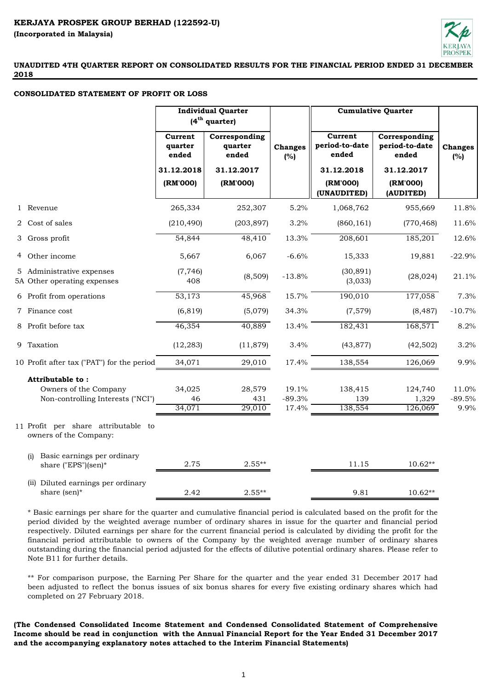

## **CONSOLIDATED STATEMENT OF PROFIT OR LOSS**

|                                                               | <b>Individual Quarter</b><br>$(4th$ quarter) |                                   |                       | <b>Cumulative Quarter</b>             |                                          |                       |
|---------------------------------------------------------------|----------------------------------------------|-----------------------------------|-----------------------|---------------------------------------|------------------------------------------|-----------------------|
|                                                               | Current<br>quarter<br>ended                  | Corresponding<br>quarter<br>ended | <b>Changes</b><br>(%) | Current<br>period-to-date<br>ended    | Corresponding<br>period-to-date<br>ended | <b>Changes</b><br>(%) |
|                                                               | 31.12.2018<br>(RM'000)                       | 31.12.2017<br>(RM'000)            |                       | 31.12.2018<br>(RM'000)<br>(UNAUDITED) | 31.12.2017<br>(RM'000)<br>(AUDITED)      |                       |
| 1 Revenue                                                     | 265,334                                      | 252,307                           | 5.2%                  | 1,068,762                             | 955,669                                  | 11.8%                 |
| 2 Cost of sales                                               | (210, 490)                                   | (203, 897)                        | 3.2%                  | (860, 161)                            | (770, 468)                               | 11.6%                 |
| 3 Gross profit                                                | 54,844                                       | 48,410                            | 13.3%                 | 208,601                               | 185,201                                  | 12.6%                 |
| 4 Other income                                                | 5,667                                        | 6,067                             | $-6.6%$               | 15,333                                | 19,881                                   | $-22.9%$              |
| 5 Administrative expenses<br>5A Other operating expenses      | (7, 746)<br>408                              | (8,509)                           | $-13.8%$              | (30, 891)<br>(3,033)                  | (28, 024)                                | 21.1%                 |
| 6 Profit from operations                                      | 53,173                                       | 45,968                            | 15.7%                 | 190,010                               | 177,058                                  | 7.3%                  |
| 7 Finance cost                                                | (6, 819)                                     | (5,079)                           | 34.3%                 | (7,579)                               | (8, 487)                                 | $-10.7%$              |
| 8 Profit before tax                                           | 46,354                                       | 40,889                            | 13.4%                 | 182,431                               | 168,571                                  | 8.2%                  |
| 9 Taxation                                                    | (12, 283)                                    | (11, 879)                         | 3.4%                  | (43, 877)                             | (42, 502)                                | 3.2%                  |
| 10 Profit after tax ("PAT") for the period                    | 34,071                                       | 29,010                            | 17.4%                 | 138,554                               | 126,069                                  | 9.9%                  |
| Attributable to:                                              |                                              |                                   |                       |                                       |                                          |                       |
| Owners of the Company                                         | 34,025                                       | 28,579                            | 19.1%                 | 138,415                               | 124,740                                  | 11.0%                 |
| Non-controlling Interests ("NCI")                             | 46<br>34,071                                 | 431<br>29,010                     | $-89.3%$              | 139<br>138,554                        | 1,329<br>126,069                         | $-89.5%$<br>9.9%      |
| 11 Profit per share attributable to<br>owners of the Company: |                                              |                                   | 17.4%                 |                                       |                                          |                       |
| Basic earnings per ordinary<br>(i)<br>share ("EPS")(sen)*     | 2.75                                         | $2.55**$                          |                       | 11.15                                 | $10.62**$                                |                       |
| (ii) Diluted earnings per ordinary<br>share (sen)*            | 2.42                                         | $2.55**$                          |                       | 9.81                                  | $10.62**$                                |                       |

\* Basic earnings per share for the quarter and cumulative financial period is calculated based on the profit for the period divided by the weighted average number of ordinary shares in issue for the quarter and financial period respectively. Diluted earnings per share for the current financial period is calculated by dividing the profit for the financial period attributable to owners of the Company by the weighted average number of ordinary shares outstanding during the financial period adjusted for the effects of dilutive potential ordinary shares. Please refer to Note B11 for further details.

\*\* For comparison purpose, the Earning Per Share for the quarter and the year ended 31 December 2017 had been adjusted to reflect the bonus issues of six bonus shares for every five existing ordinary shares which had completed on 27 February 2018.

**(The Condensed Consolidated Income Statement and Condensed Consolidated Statement of Comprehensive** Income should be read in conjunction with the Annual Financial Report for the Year Ended 31 December 2017 **and the accompanying explanatory notes attached to the Interim Financial Statements)**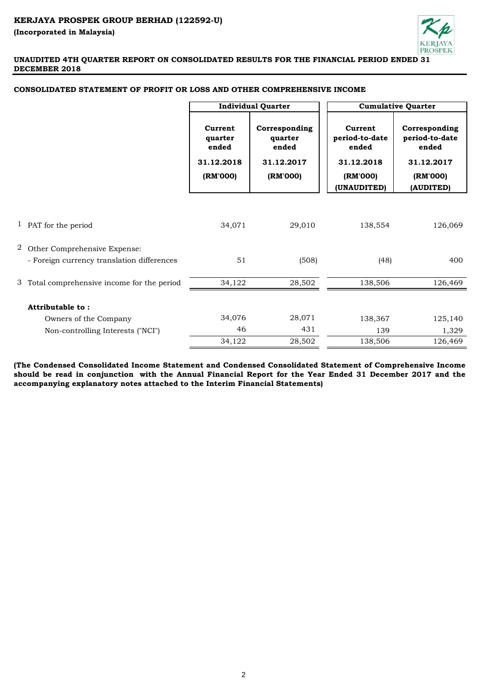

# **UNAUDITED 4TH QUARTER REPORT ON CONSOLIDATED RESULTS FOR THE FINANCIAL PERIOD ENDED 31 DECEMBER 2018**

|   |                                             | <b>Individual Quarter</b>                             |                                                             |                                                                             | <b>Cumulative Quarter</b>                                                       |
|---|---------------------------------------------|-------------------------------------------------------|-------------------------------------------------------------|-----------------------------------------------------------------------------|---------------------------------------------------------------------------------|
|   |                                             | Current<br>quarter<br>ended<br>31.12.2018<br>(RM'000) | Corresponding<br>quarter<br>ended<br>31.12.2017<br>(RM'000) | Current<br>period-to-date<br>ended<br>31.12.2018<br>(RM'000)<br>(UNAUDITED) | Corresponding<br>period-to-date<br>ended<br>31.12.2017<br>(RM'000)<br>(AUDITED) |
|   |                                             |                                                       |                                                             |                                                                             |                                                                                 |
|   | 1 PAT for the period                        | 34,071                                                | 29,010                                                      | 138,554                                                                     | 126,069                                                                         |
| 2 | Other Comprehensive Expense:                |                                                       |                                                             |                                                                             |                                                                                 |
|   | - Foreign currency translation differences  | 51                                                    | (508)                                                       | (48)                                                                        | 400                                                                             |
|   | 3 Total comprehensive income for the period | 34,122                                                | 28,502                                                      | 138,506                                                                     | 126,469                                                                         |
|   | Attributable to:                            |                                                       |                                                             |                                                                             |                                                                                 |
|   | Owners of the Company                       | 34,076                                                | 28,071                                                      | 138,367                                                                     | 125,140                                                                         |
|   | Non-controlling Interests ("NCI")           | 46                                                    | 431                                                         | 139                                                                         | 1,329                                                                           |
|   |                                             | 34,122                                                | 28,502                                                      | 138,506                                                                     | 126,469                                                                         |

# **CONSOLIDATED STATEMENT OF PROFIT OR LOSS AND OTHER COMPREHENSIVE INCOME**

**(The Condensed Consolidated Income Statement and Condensed Consolidated Statement of Comprehensive Income** should be read in conjunction with the Annual Financial Report for the Year Ended 31 December 2017 and the **accompanying explanatory notes attached to the Interim Financial Statements)**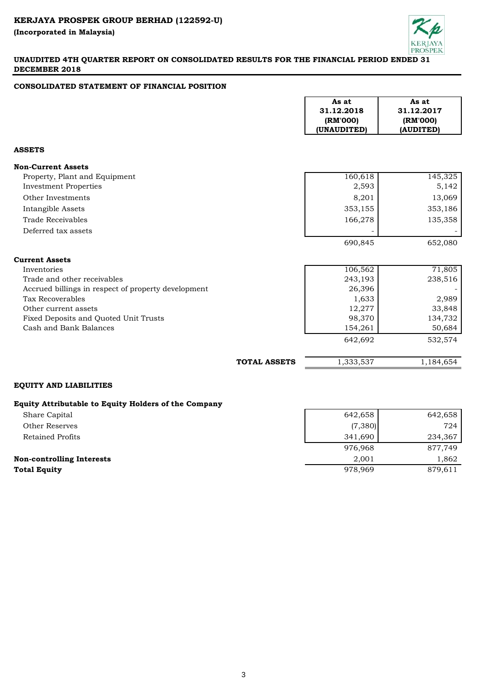

# **UNAUDITED 4TH QUARTER REPORT ON CONSOLIDATED RESULTS FOR THE FINANCIAL PERIOD ENDED 31 DECEMBER 2018**

# **CONSOLIDATED STATEMENT OF FINANCIAL POSITION**

|                                                      |                     | As at<br>31.12.2018<br>(RM'000)<br>(UNAUDITED) | As at<br>31.12.2017<br>(RM'000)<br>(AUDITED) |
|------------------------------------------------------|---------------------|------------------------------------------------|----------------------------------------------|
| <b>ASSETS</b>                                        |                     |                                                |                                              |
| <b>Non-Current Assets</b>                            |                     |                                                |                                              |
| Property, Plant and Equipment                        |                     | 160,618                                        | 145,325                                      |
| <b>Investment Properties</b>                         |                     | 2,593                                          | 5,142                                        |
| Other Investments                                    |                     | 8,201                                          | 13,069                                       |
| Intangible Assets                                    |                     | 353,155                                        | 353,186                                      |
| <b>Trade Receivables</b>                             |                     | 166,278                                        | 135,358                                      |
| Deferred tax assets                                  |                     |                                                |                                              |
|                                                      |                     | 690,845                                        | 652,080                                      |
| <b>Current Assets</b>                                |                     |                                                |                                              |
| Inventories                                          |                     | 106,562                                        | 71,805                                       |
| Trade and other receivables                          |                     | 243,193                                        | 238,516                                      |
| Accrued billings in respect of property development  |                     | 26,396                                         |                                              |
| <b>Tax Recoverables</b>                              |                     | 1,633                                          | 2,989                                        |
| Other current assets                                 |                     | 12,277                                         | 33,848                                       |
| Fixed Deposits and Quoted Unit Trusts                |                     | 98,370                                         | 134,732                                      |
| Cash and Bank Balances                               |                     | 154,261<br>642,692                             | 50,684<br>532,574                            |
|                                                      |                     |                                                |                                              |
|                                                      | <b>TOTAL ASSETS</b> | 1,333,537                                      | 1,184,654                                    |
| <b>EQUITY AND LIABILITIES</b>                        |                     |                                                |                                              |
| Equity Attributable to Equity Holders of the Company |                     |                                                |                                              |
| Share Capital                                        |                     | 642,658                                        | 642,658                                      |
| <b>Other Reserves</b>                                |                     | (7, 380)                                       | 724                                          |
| <b>Retained Profits</b>                              |                     | 341,690                                        | 234,367                                      |
|                                                      |                     | 976,968                                        | 877,749                                      |

# **Non-controlling Interests** 2,001 1,862 **Total Equity** 879,611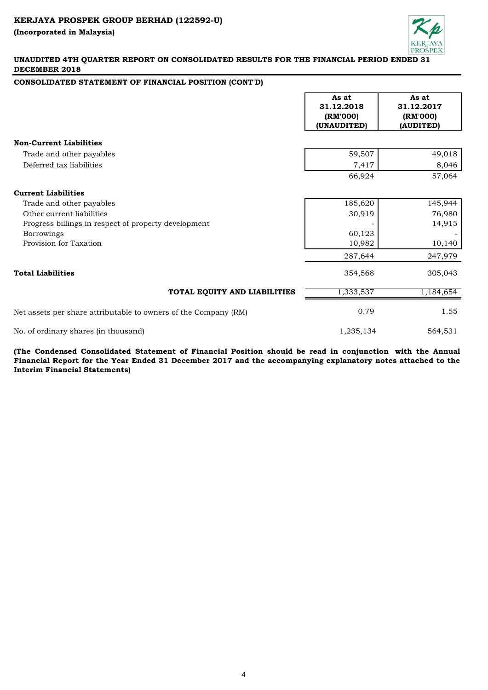

## **UNAUDITED 4TH QUARTER REPORT ON CONSOLIDATED RESULTS FOR THE FINANCIAL PERIOD ENDED 31 DECEMBER 2018**

## **CONSOLIDATED STATEMENT OF FINANCIAL POSITION (CONT'D)**

|                                                                 | As at<br>31.12.2018<br>(RM'000)<br>(UNAUDITED) | As at<br>31.12.2017<br>(RM'000)<br>(AUDITED) |
|-----------------------------------------------------------------|------------------------------------------------|----------------------------------------------|
| <b>Non-Current Liabilities</b>                                  |                                                |                                              |
| Trade and other payables                                        | 59,507                                         | 49,018                                       |
| Deferred tax liabilities                                        | 7,417                                          | 8,046                                        |
|                                                                 | 66,924                                         | 57,064                                       |
| <b>Current Liabilities</b>                                      |                                                |                                              |
| Trade and other payables                                        | 185,620                                        | 145,944                                      |
| Other current liabilities                                       | 30,919                                         | 76,980                                       |
| Progress billings in respect of property development            |                                                | 14,915                                       |
| Borrowings                                                      | 60,123                                         |                                              |
| Provision for Taxation                                          | 10,982                                         | 10,140                                       |
|                                                                 | 287,644                                        | 247,979                                      |
| <b>Total Liabilities</b>                                        | 354,568                                        | 305,043                                      |
| TOTAL EQUITY AND LIABILITIES                                    | 1,333,537                                      | 1,184,654                                    |
| Net assets per share attributable to owners of the Company (RM) | 0.79                                           | 1.55                                         |
| No. of ordinary shares (in thousand)                            | 1,235,134                                      | 564,531                                      |

**(The Condensed Consolidated Statement of Financial Position should be read in conjunction with the Annual** Financial Report for the Year Ended 31 December 2017 and the accompanying explanatory notes attached to the **Interim Financial Statements)**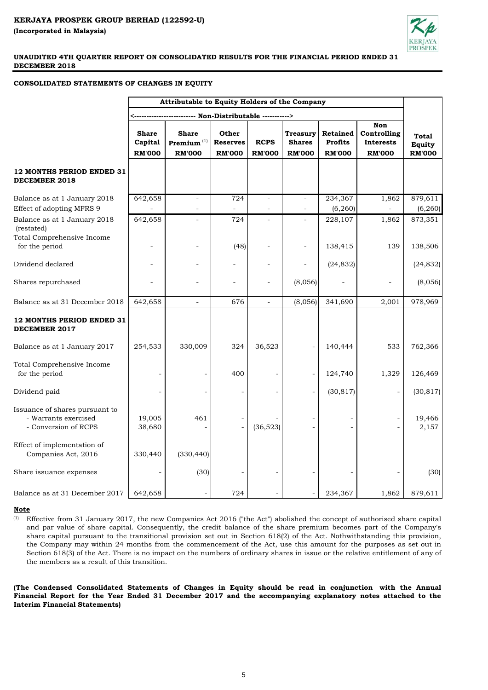

## **CONSOLIDATED STATEMENTS OF CHANGES IN EQUITY**

|                                                                                | Attributable to Equity Holders of the Company |                                                |                                           |                              |                                                   |                                             |                                                         |                                                |
|--------------------------------------------------------------------------------|-----------------------------------------------|------------------------------------------------|-------------------------------------------|------------------------------|---------------------------------------------------|---------------------------------------------|---------------------------------------------------------|------------------------------------------------|
|                                                                                |                                               |                                                |                                           |                              |                                                   |                                             |                                                         |                                                |
|                                                                                | <b>Share</b><br>Capital<br><b>RM'000</b>      | <b>Share</b><br>Premium $(1)$<br><b>RM'000</b> | Other<br><b>Reserves</b><br><b>RM'000</b> | <b>RCPS</b><br><b>RM'000</b> | <b>Treasury</b><br><b>Shares</b><br><b>RM'000</b> | Retained<br><b>Profits</b><br><b>RM'000</b> | Non<br>Controlling<br><b>Interests</b><br><b>RM'000</b> | <b>Total</b><br><b>Equity</b><br><b>RM'000</b> |
| 12 MONTHS PERIOD ENDED 31<br>DECEMBER 2018                                     |                                               |                                                |                                           |                              |                                                   |                                             |                                                         |                                                |
| Balance as at 1 January 2018<br>Effect of adopting MFRS 9                      | 642,658                                       |                                                | 724                                       |                              |                                                   | 234,367<br>(6, 260)                         | 1,862                                                   | 879,611<br>(6, 260)                            |
| Balance as at 1 January 2018<br>(restated)<br>Total Comprehensive Income       | 642,658                                       |                                                | 724                                       |                              |                                                   | 228,107                                     | 1,862                                                   | 873,351                                        |
| for the period                                                                 |                                               |                                                | (48)                                      |                              |                                                   | 138,415                                     | 139                                                     | 138,506                                        |
| Dividend declared                                                              |                                               |                                                |                                           |                              |                                                   | (24, 832)                                   |                                                         | (24, 832)                                      |
| Shares repurchased                                                             |                                               |                                                | $\overline{\phantom{a}}$                  | $\overline{\phantom{a}}$     | (8,056)                                           |                                             |                                                         | (8,056)                                        |
| Balance as at 31 December 2018                                                 | 642,658                                       | $\overline{a}$                                 | 676                                       | $\overline{a}$               | (8,056)                                           | 341,690                                     | 2,001                                                   | 978,969                                        |
| <b>12 MONTHS PERIOD ENDED 31</b><br><b>DECEMBER 2017</b>                       |                                               |                                                |                                           |                              |                                                   |                                             |                                                         |                                                |
| Balance as at 1 January 2017                                                   | 254,533                                       | 330,009                                        | 324                                       | 36,523                       |                                                   | 140,444                                     | 533                                                     | 762,366                                        |
| Total Comprehensive Income<br>for the period                                   |                                               |                                                | 400                                       |                              |                                                   | 124,740                                     | 1,329                                                   | 126,469                                        |
| Dividend paid                                                                  |                                               |                                                |                                           |                              | $\overline{a}$                                    | (30, 817)                                   |                                                         | (30, 817)                                      |
| Issuance of shares pursuant to<br>- Warrants exercised<br>- Conversion of RCPS | 19,005<br>38,680                              | 461                                            |                                           | (36, 523)                    |                                                   |                                             |                                                         | 19,466<br>2,157                                |
| Effect of implementation of<br>Companies Act, 2016                             | 330,440                                       | (330, 440)                                     |                                           |                              |                                                   |                                             |                                                         |                                                |
| Share issuance expenses                                                        |                                               | (30)                                           |                                           |                              |                                                   |                                             |                                                         | (30)                                           |
| Balance as at 31 December 2017                                                 | 642,658                                       |                                                | 724                                       |                              |                                                   | 234,367                                     | 1,862                                                   | 879,611                                        |

### **Note**

 $(1)$  Effective from 31 January 2017, the new Companies Act 2016 ("the Act") abolished the concept of authorised share capital and par value of share capital. Consequently, the credit balance of the share premium becomes part of the Company's share capital pursuant to the transitional provision set out in Section 618(2) of the Act. Nothwithstanding this provision, the Company may within 24 months from the commencement of the Act, use this amount for the purposes as set out in Section 618(3) of the Act. There is no impact on the numbers of ordinary shares in issue or the relative entitlement of any of the members as a result of this transition.

**(The Condensed Consolidated Statements of Changes in Equity should be read in conjunction with the Annual** Financial Report for the Year Ended 31 December 2017 and the accompanying explanatory notes attached to the **Interim Financial Statements)**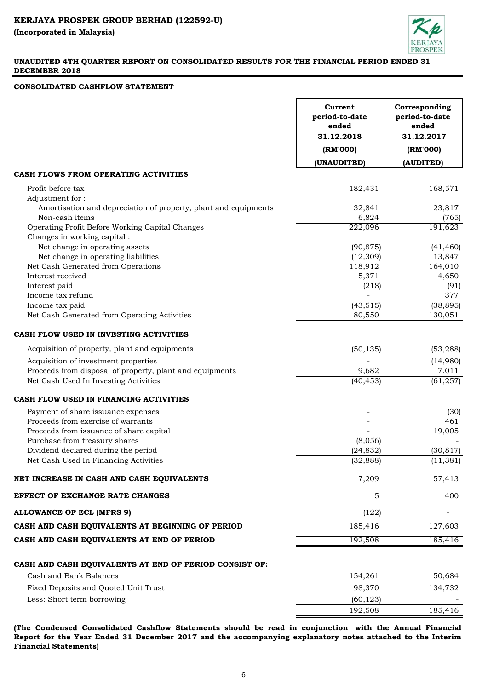

# **UNAUDITED 4TH QUARTER REPORT ON CONSOLIDATED RESULTS FOR THE FINANCIAL PERIOD ENDED 31 DECEMBER 2018**

## **CONSOLIDATED CASHFLOW STATEMENT**

| (UNAUDITED)<br>(AUDITED)<br>Profit before tax<br>182,431<br>168,571<br>Adjustment for:<br>Amortisation and depreciation of property, plant and equipments<br>32,841<br>23,817<br>Non-cash items<br>6,824<br>(765)<br>Operating Profit Before Working Capital Changes<br>222,096<br>191,623<br>Changes in working capital :<br>Net change in operating assets<br>(90, 875)<br>(41, 460)<br>Net change in operating liabilities<br>(12, 309)<br>13,847<br>Net Cash Generated from Operations<br>118,912<br>164,010<br>Interest received<br>4,650<br>5,371<br>Interest paid<br>(218)<br>(91)<br>Income tax refund<br>377<br>Income tax paid<br>(43, 515)<br>(38, 895)<br>Net Cash Generated from Operating Activities<br>80,550<br>130,051<br>(50, 135)<br>(53, 288)<br>Acquisition of property, plant and equipments<br>Acquisition of investment properties<br>(14,980)<br>Proceeds from disposal of property, plant and equipments<br>9,682<br>7,011<br>Net Cash Used In Investing Activities<br>(61, 257)<br>(40, 453)<br>CASH FLOW USED IN FINANCING ACTIVITIES<br>Payment of share issuance expenses<br>(30)<br>Proceeds from exercise of warrants<br>461<br>Proceeds from issuance of share capital<br>19,005<br>Purchase from treasury shares<br>(8,056)<br>Dividend declared during the period<br>(24, 832)<br>(30, 817)<br>Net Cash Used In Financing Activities<br>(32, 888)<br>(11, 381)<br>7,209<br>NET INCREASE IN CASH AND CASH EQUIVALENTS<br>57,413<br>5<br>400<br>(122)<br>185,416<br>127,603<br>192,508<br>185,416<br>CASH AND CASH EQUIVALENTS AT END OF PERIOD<br>CASH AND CASH EQUIVALENTS AT END OF PERIOD CONSIST OF:<br>Cash and Bank Balances<br>154,261<br>50,684<br>Fixed Deposits and Quoted Unit Trust<br>98,370<br>134,732<br>Less: Short term borrowing<br>(60, 123)<br>192,508<br>185,416 |                                                  | Current<br>period-to-date<br>ended<br>31.12.2018<br>(RM'000) | Corresponding<br>period-to-date<br>ended<br>31.12.2017<br>(RM'000) |
|-------------------------------------------------------------------------------------------------------------------------------------------------------------------------------------------------------------------------------------------------------------------------------------------------------------------------------------------------------------------------------------------------------------------------------------------------------------------------------------------------------------------------------------------------------------------------------------------------------------------------------------------------------------------------------------------------------------------------------------------------------------------------------------------------------------------------------------------------------------------------------------------------------------------------------------------------------------------------------------------------------------------------------------------------------------------------------------------------------------------------------------------------------------------------------------------------------------------------------------------------------------------------------------------------------------------------------------------------------------------------------------------------------------------------------------------------------------------------------------------------------------------------------------------------------------------------------------------------------------------------------------------------------------------------------------------------------------------------------------------------------------------------------------------------------------------------|--------------------------------------------------|--------------------------------------------------------------|--------------------------------------------------------------------|
|                                                                                                                                                                                                                                                                                                                                                                                                                                                                                                                                                                                                                                                                                                                                                                                                                                                                                                                                                                                                                                                                                                                                                                                                                                                                                                                                                                                                                                                                                                                                                                                                                                                                                                                                                                                                                         |                                                  |                                                              |                                                                    |
|                                                                                                                                                                                                                                                                                                                                                                                                                                                                                                                                                                                                                                                                                                                                                                                                                                                                                                                                                                                                                                                                                                                                                                                                                                                                                                                                                                                                                                                                                                                                                                                                                                                                                                                                                                                                                         | CASH FLOWS FROM OPERATING ACTIVITIES             |                                                              |                                                                    |
|                                                                                                                                                                                                                                                                                                                                                                                                                                                                                                                                                                                                                                                                                                                                                                                                                                                                                                                                                                                                                                                                                                                                                                                                                                                                                                                                                                                                                                                                                                                                                                                                                                                                                                                                                                                                                         |                                                  |                                                              |                                                                    |
|                                                                                                                                                                                                                                                                                                                                                                                                                                                                                                                                                                                                                                                                                                                                                                                                                                                                                                                                                                                                                                                                                                                                                                                                                                                                                                                                                                                                                                                                                                                                                                                                                                                                                                                                                                                                                         |                                                  |                                                              |                                                                    |
|                                                                                                                                                                                                                                                                                                                                                                                                                                                                                                                                                                                                                                                                                                                                                                                                                                                                                                                                                                                                                                                                                                                                                                                                                                                                                                                                                                                                                                                                                                                                                                                                                                                                                                                                                                                                                         |                                                  |                                                              |                                                                    |
|                                                                                                                                                                                                                                                                                                                                                                                                                                                                                                                                                                                                                                                                                                                                                                                                                                                                                                                                                                                                                                                                                                                                                                                                                                                                                                                                                                                                                                                                                                                                                                                                                                                                                                                                                                                                                         |                                                  |                                                              |                                                                    |
|                                                                                                                                                                                                                                                                                                                                                                                                                                                                                                                                                                                                                                                                                                                                                                                                                                                                                                                                                                                                                                                                                                                                                                                                                                                                                                                                                                                                                                                                                                                                                                                                                                                                                                                                                                                                                         |                                                  |                                                              |                                                                    |
|                                                                                                                                                                                                                                                                                                                                                                                                                                                                                                                                                                                                                                                                                                                                                                                                                                                                                                                                                                                                                                                                                                                                                                                                                                                                                                                                                                                                                                                                                                                                                                                                                                                                                                                                                                                                                         |                                                  |                                                              |                                                                    |
|                                                                                                                                                                                                                                                                                                                                                                                                                                                                                                                                                                                                                                                                                                                                                                                                                                                                                                                                                                                                                                                                                                                                                                                                                                                                                                                                                                                                                                                                                                                                                                                                                                                                                                                                                                                                                         |                                                  |                                                              |                                                                    |
|                                                                                                                                                                                                                                                                                                                                                                                                                                                                                                                                                                                                                                                                                                                                                                                                                                                                                                                                                                                                                                                                                                                                                                                                                                                                                                                                                                                                                                                                                                                                                                                                                                                                                                                                                                                                                         |                                                  |                                                              |                                                                    |
|                                                                                                                                                                                                                                                                                                                                                                                                                                                                                                                                                                                                                                                                                                                                                                                                                                                                                                                                                                                                                                                                                                                                                                                                                                                                                                                                                                                                                                                                                                                                                                                                                                                                                                                                                                                                                         |                                                  |                                                              |                                                                    |
|                                                                                                                                                                                                                                                                                                                                                                                                                                                                                                                                                                                                                                                                                                                                                                                                                                                                                                                                                                                                                                                                                                                                                                                                                                                                                                                                                                                                                                                                                                                                                                                                                                                                                                                                                                                                                         |                                                  |                                                              |                                                                    |
|                                                                                                                                                                                                                                                                                                                                                                                                                                                                                                                                                                                                                                                                                                                                                                                                                                                                                                                                                                                                                                                                                                                                                                                                                                                                                                                                                                                                                                                                                                                                                                                                                                                                                                                                                                                                                         |                                                  |                                                              |                                                                    |
|                                                                                                                                                                                                                                                                                                                                                                                                                                                                                                                                                                                                                                                                                                                                                                                                                                                                                                                                                                                                                                                                                                                                                                                                                                                                                                                                                                                                                                                                                                                                                                                                                                                                                                                                                                                                                         |                                                  |                                                              |                                                                    |
|                                                                                                                                                                                                                                                                                                                                                                                                                                                                                                                                                                                                                                                                                                                                                                                                                                                                                                                                                                                                                                                                                                                                                                                                                                                                                                                                                                                                                                                                                                                                                                                                                                                                                                                                                                                                                         |                                                  |                                                              |                                                                    |
|                                                                                                                                                                                                                                                                                                                                                                                                                                                                                                                                                                                                                                                                                                                                                                                                                                                                                                                                                                                                                                                                                                                                                                                                                                                                                                                                                                                                                                                                                                                                                                                                                                                                                                                                                                                                                         |                                                  |                                                              |                                                                    |
|                                                                                                                                                                                                                                                                                                                                                                                                                                                                                                                                                                                                                                                                                                                                                                                                                                                                                                                                                                                                                                                                                                                                                                                                                                                                                                                                                                                                                                                                                                                                                                                                                                                                                                                                                                                                                         | CASH FLOW USED IN INVESTING ACTIVITIES           |                                                              |                                                                    |
|                                                                                                                                                                                                                                                                                                                                                                                                                                                                                                                                                                                                                                                                                                                                                                                                                                                                                                                                                                                                                                                                                                                                                                                                                                                                                                                                                                                                                                                                                                                                                                                                                                                                                                                                                                                                                         |                                                  |                                                              |                                                                    |
|                                                                                                                                                                                                                                                                                                                                                                                                                                                                                                                                                                                                                                                                                                                                                                                                                                                                                                                                                                                                                                                                                                                                                                                                                                                                                                                                                                                                                                                                                                                                                                                                                                                                                                                                                                                                                         |                                                  |                                                              |                                                                    |
|                                                                                                                                                                                                                                                                                                                                                                                                                                                                                                                                                                                                                                                                                                                                                                                                                                                                                                                                                                                                                                                                                                                                                                                                                                                                                                                                                                                                                                                                                                                                                                                                                                                                                                                                                                                                                         |                                                  |                                                              |                                                                    |
|                                                                                                                                                                                                                                                                                                                                                                                                                                                                                                                                                                                                                                                                                                                                                                                                                                                                                                                                                                                                                                                                                                                                                                                                                                                                                                                                                                                                                                                                                                                                                                                                                                                                                                                                                                                                                         |                                                  |                                                              |                                                                    |
|                                                                                                                                                                                                                                                                                                                                                                                                                                                                                                                                                                                                                                                                                                                                                                                                                                                                                                                                                                                                                                                                                                                                                                                                                                                                                                                                                                                                                                                                                                                                                                                                                                                                                                                                                                                                                         |                                                  |                                                              |                                                                    |
|                                                                                                                                                                                                                                                                                                                                                                                                                                                                                                                                                                                                                                                                                                                                                                                                                                                                                                                                                                                                                                                                                                                                                                                                                                                                                                                                                                                                                                                                                                                                                                                                                                                                                                                                                                                                                         |                                                  |                                                              |                                                                    |
|                                                                                                                                                                                                                                                                                                                                                                                                                                                                                                                                                                                                                                                                                                                                                                                                                                                                                                                                                                                                                                                                                                                                                                                                                                                                                                                                                                                                                                                                                                                                                                                                                                                                                                                                                                                                                         |                                                  |                                                              |                                                                    |
|                                                                                                                                                                                                                                                                                                                                                                                                                                                                                                                                                                                                                                                                                                                                                                                                                                                                                                                                                                                                                                                                                                                                                                                                                                                                                                                                                                                                                                                                                                                                                                                                                                                                                                                                                                                                                         |                                                  |                                                              |                                                                    |
|                                                                                                                                                                                                                                                                                                                                                                                                                                                                                                                                                                                                                                                                                                                                                                                                                                                                                                                                                                                                                                                                                                                                                                                                                                                                                                                                                                                                                                                                                                                                                                                                                                                                                                                                                                                                                         |                                                  |                                                              |                                                                    |
|                                                                                                                                                                                                                                                                                                                                                                                                                                                                                                                                                                                                                                                                                                                                                                                                                                                                                                                                                                                                                                                                                                                                                                                                                                                                                                                                                                                                                                                                                                                                                                                                                                                                                                                                                                                                                         |                                                  |                                                              |                                                                    |
|                                                                                                                                                                                                                                                                                                                                                                                                                                                                                                                                                                                                                                                                                                                                                                                                                                                                                                                                                                                                                                                                                                                                                                                                                                                                                                                                                                                                                                                                                                                                                                                                                                                                                                                                                                                                                         |                                                  |                                                              |                                                                    |
|                                                                                                                                                                                                                                                                                                                                                                                                                                                                                                                                                                                                                                                                                                                                                                                                                                                                                                                                                                                                                                                                                                                                                                                                                                                                                                                                                                                                                                                                                                                                                                                                                                                                                                                                                                                                                         |                                                  |                                                              |                                                                    |
|                                                                                                                                                                                                                                                                                                                                                                                                                                                                                                                                                                                                                                                                                                                                                                                                                                                                                                                                                                                                                                                                                                                                                                                                                                                                                                                                                                                                                                                                                                                                                                                                                                                                                                                                                                                                                         |                                                  |                                                              |                                                                    |
|                                                                                                                                                                                                                                                                                                                                                                                                                                                                                                                                                                                                                                                                                                                                                                                                                                                                                                                                                                                                                                                                                                                                                                                                                                                                                                                                                                                                                                                                                                                                                                                                                                                                                                                                                                                                                         | <b>EFFECT OF EXCHANGE RATE CHANGES</b>           |                                                              |                                                                    |
|                                                                                                                                                                                                                                                                                                                                                                                                                                                                                                                                                                                                                                                                                                                                                                                                                                                                                                                                                                                                                                                                                                                                                                                                                                                                                                                                                                                                                                                                                                                                                                                                                                                                                                                                                                                                                         | <b>ALLOWANCE OF ECL (MFRS 9)</b>                 |                                                              |                                                                    |
|                                                                                                                                                                                                                                                                                                                                                                                                                                                                                                                                                                                                                                                                                                                                                                                                                                                                                                                                                                                                                                                                                                                                                                                                                                                                                                                                                                                                                                                                                                                                                                                                                                                                                                                                                                                                                         | CASH AND CASH EQUIVALENTS AT BEGINNING OF PERIOD |                                                              |                                                                    |
|                                                                                                                                                                                                                                                                                                                                                                                                                                                                                                                                                                                                                                                                                                                                                                                                                                                                                                                                                                                                                                                                                                                                                                                                                                                                                                                                                                                                                                                                                                                                                                                                                                                                                                                                                                                                                         |                                                  |                                                              |                                                                    |
|                                                                                                                                                                                                                                                                                                                                                                                                                                                                                                                                                                                                                                                                                                                                                                                                                                                                                                                                                                                                                                                                                                                                                                                                                                                                                                                                                                                                                                                                                                                                                                                                                                                                                                                                                                                                                         |                                                  |                                                              |                                                                    |
|                                                                                                                                                                                                                                                                                                                                                                                                                                                                                                                                                                                                                                                                                                                                                                                                                                                                                                                                                                                                                                                                                                                                                                                                                                                                                                                                                                                                                                                                                                                                                                                                                                                                                                                                                                                                                         |                                                  |                                                              |                                                                    |
|                                                                                                                                                                                                                                                                                                                                                                                                                                                                                                                                                                                                                                                                                                                                                                                                                                                                                                                                                                                                                                                                                                                                                                                                                                                                                                                                                                                                                                                                                                                                                                                                                                                                                                                                                                                                                         |                                                  |                                                              |                                                                    |
|                                                                                                                                                                                                                                                                                                                                                                                                                                                                                                                                                                                                                                                                                                                                                                                                                                                                                                                                                                                                                                                                                                                                                                                                                                                                                                                                                                                                                                                                                                                                                                                                                                                                                                                                                                                                                         |                                                  |                                                              |                                                                    |
|                                                                                                                                                                                                                                                                                                                                                                                                                                                                                                                                                                                                                                                                                                                                                                                                                                                                                                                                                                                                                                                                                                                                                                                                                                                                                                                                                                                                                                                                                                                                                                                                                                                                                                                                                                                                                         |                                                  |                                                              |                                                                    |
|                                                                                                                                                                                                                                                                                                                                                                                                                                                                                                                                                                                                                                                                                                                                                                                                                                                                                                                                                                                                                                                                                                                                                                                                                                                                                                                                                                                                                                                                                                                                                                                                                                                                                                                                                                                                                         |                                                  |                                                              |                                                                    |

**(The Condensed Consolidated Cashflow Statements should be read in conjunction with the Annual Financial Report for the Year Ended 31 December 2017 and the accompanying explanatory notes attached to the Interim Financial Statements)**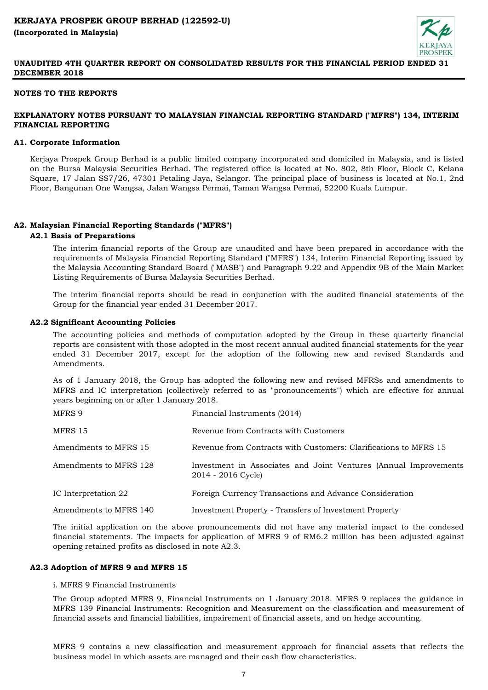

## **NOTES TO THE REPORTS**

# **EXPLANATORY NOTES PURSUANT TO MALAYSIAN FINANCIAL REPORTING STANDARD ("MFRS") 134, INTERIM FINANCIAL REPORTING**

## **A1. Corporate Information**

Kerjaya Prospek Group Berhad is a public limited company incorporated and domiciled in Malaysia, and is listed on the Bursa Malaysia Securities Berhad. The registered office is located at No. 802, 8th Floor, Block C, Kelana Square, 17 Jalan SS7/26, 47301 Petaling Jaya, Selangor. The principal place of business is located at No.1, 2nd Floor, Bangunan One Wangsa, Jalan Wangsa Permai, Taman Wangsa Permai, 52200 Kuala Lumpur.

## **A2. Malaysian Financial Reporting Standards ("MFRS")**

## **A2.1 Basis of Preparations**

The interim financial reports of the Group are unaudited and have been prepared in accordance with the requirements of Malaysia Financial Reporting Standard ("MFRS") 134, Interim Financial Reporting issued by the Malaysia Accounting Standard Board ("MASB") and Paragraph 9.22 and Appendix 9B of the Main Market Listing Requirements of Bursa Malaysia Securities Berhad.

The interim financial reports should be read in conjunction with the audited financial statements of the Group for the financial year ended 31 December 2017.

## **A2.2 Significant Accounting Policies**

The accounting policies and methods of computation adopted by the Group in these quarterly financial reports are consistent with those adopted in the most recent annual audited financial statements for the year ended 31 December 2017, except for the adoption of the following new and revised Standards and Amendments.

As of 1 January 2018, the Group has adopted the following new and revised MFRSs and amendments to MFRS and IC interpretation (collectively referred to as "pronouncements") which are effective for annual years beginning on or after 1 January 2018.

| MFRS 9                 | Financial Instruments (2014)                                                           |
|------------------------|----------------------------------------------------------------------------------------|
| MFRS 15                | Revenue from Contracts with Customers                                                  |
| Amendments to MFRS 15  | Revenue from Contracts with Customers: Clarifications to MFRS 15                       |
| Amendments to MFRS 128 | Investment in Associates and Joint Ventures (Annual Improvements<br>2014 - 2016 Cycle) |
| IC Interpretation 22   | Foreign Currency Transactions and Advance Consideration                                |
| Amendments to MFRS 140 | Investment Property - Transfers of Investment Property                                 |

The initial application on the above pronouncements did not have any material impact to the condesed financial statements. The impacts for application of MFRS 9 of RM6.2 million has been adjusted against opening retained profits as disclosed in note A2.3.

### **A2.3 Adoption of MFRS 9 and MFRS 15**

## i. MFRS 9 Financial Instruments

The Group adopted MFRS 9, Financial Instruments on 1 January 2018. MFRS 9 replaces the guidance in MFRS 139 Financial Instruments: Recognition and Measurement on the classification and measurement of financial assets and financial liabilities, impairement of financial assets, and on hedge accounting.

MFRS 9 contains a new classification and measurement approach for financial assets that reflects the business model in which assets are managed and their cash flow characteristics.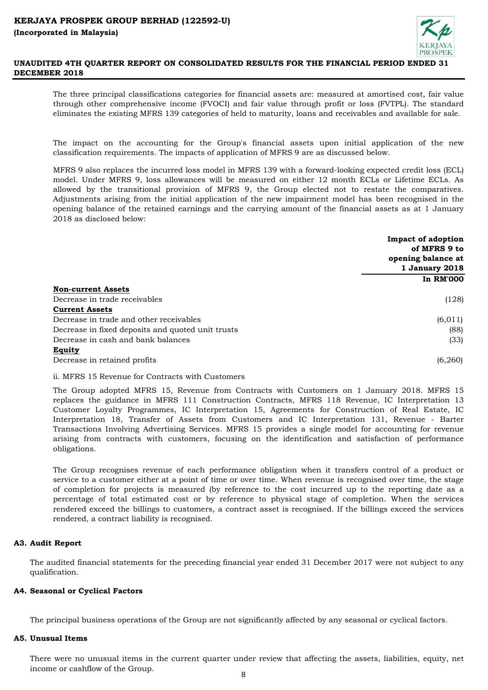

The three principal classifications categories for financial assets are: measured at amortised cost, fair value through other comprehensive income (FVOCI) and fair value through profit or loss (FVTPL). The standard eliminates the existing MFRS 139 categories of held to maturity, loans and receivables and available for sale.

The impact on the accounting for the Group's financial assets upon initial application of the new classification requirements. The impacts of application of MFRS 9 are as discussed below.

MFRS 9 also replaces the incurred loss model in MFRS 139 with a forward-looking expected credit loss (ECL) model. Under MFRS 9, loss allowances will be measured on either 12 month ECLs or Lifetime ECLs. As allowed by the transitional provision of MFRS 9, the Group elected not to restate the comparatives. Adjustments arising from the initial application of the new impairment model has been recognised in the opening balance of the retained earnings and the carrying amount of the financial assets as at 1 January 2018 as disclosed below:

|                                                   | Impact of adoption<br>of MFRS 9 to   |
|---------------------------------------------------|--------------------------------------|
|                                                   | opening balance at<br>1 January 2018 |
|                                                   | <b>In RM'000</b>                     |
| <b>Non-current Assets</b>                         |                                      |
| Decrease in trade receivables                     | (128)                                |
| <b>Current Assets</b>                             |                                      |
| Decrease in trade and other receivables           | (6, 011)                             |
| Decrease in fixed deposits and quoted unit trusts | (88)                                 |
| Decrease in cash and bank balances                | (33)                                 |
| Equity                                            |                                      |
| Decrease in retained profits                      | (6,260)                              |

ii. MFRS 15 Revenue for Contracts with Customers

The Group adopted MFRS 15, Revenue from Contracts with Customers on 1 January 2018. MFRS 15 replaces the guidance in MFRS 111 Construction Contracts, MFRS 118 Revenue, IC Interpretation 13 Customer Loyalty Programmes, IC Interpretation 15, Agreements for Construction of Real Estate, IC Interpretation 18, Transfer of Assets from Customers and IC Interpretation 131, Revenue - Barter Transactions Involving Advertising Services. MFRS 15 provides a single model for accounting for revenue arising from contracts with customers, focusing on the identification and satisfaction of performance obligations.

The Group recognises revenue of each performance obligation when it transfers control of a product or service to a customer either at a point of time or over time. When revenue is recognised over time, the stage of completion for projects is measured (by reference to the cost incurred up to the reporting date as a percentage of total estimated cost or by reference to physical stage of completion. When the services rendered exceed the billings to customers, a contract asset is recognised. If the billings exceed the services rendered, a contract liability is recognised.

# **A3. Audit Report**

The audited financial statements for the preceding financial year ended 31 December 2017 were not subject to any qualification.

## **A4. Seasonal or Cyclical Factors**

The principal business operations of the Group are not significantly affected by any seasonal or cyclical factors.

### **A5. Unusual Items**

There were no unusual items in the current quarter under review that affecting the assets, liabilities, equity, net income or cashflow of the Group.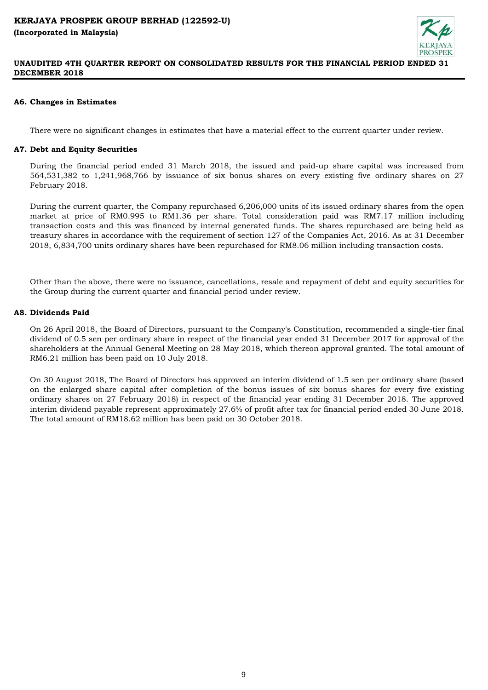

## **A6. Changes in Estimates**

There were no significant changes in estimates that have a material effect to the current quarter under review.

# **A7. Debt and Equity Securities**

During the financial period ended 31 March 2018, the issued and paid-up share capital was increased from 564,531,382 to 1,241,968,766 by issuance of six bonus shares on every existing five ordinary shares on 27 February 2018.

During the current quarter, the Company repurchased 6,206,000 units of its issued ordinary shares from the open market at price of RM0.995 to RM1.36 per share. Total consideration paid was RM7.17 million including transaction costs and this was financed by internal generated funds. The shares repurchased are being held as treasury shares in accordance with the requirement of section 127 of the Companies Act, 2016. As at 31 December 2018, 6,834,700 units ordinary shares have been repurchased for RM8.06 million including transaction costs.

Other than the above, there were no issuance, cancellations, resale and repayment of debt and equity securities for the Group during the current quarter and financial period under review.

## **A8. Dividends Paid**

On 26 April 2018, the Board of Directors, pursuant to the Company's Constitution, recommended a single-tier final dividend of 0.5 sen per ordinary share in respect of the financial year ended 31 December 2017 for approval of the shareholders at the Annual General Meeting on 28 May 2018, which thereon approval granted. The total amount of RM6.21 million has been paid on 10 July 2018.

On 30 August 2018, The Board of Directors has approved an interim dividend of 1.5 sen per ordinary share (based on the enlarged share capital after completion of the bonus issues of six bonus shares for every five existing ordinary shares on 27 February 2018) in respect of the financial year ending 31 December 2018. The approved interim dividend payable represent approximately 27.6% of profit after tax for financial period ended 30 June 2018. The total amount of RM18.62 million has been paid on 30 October 2018.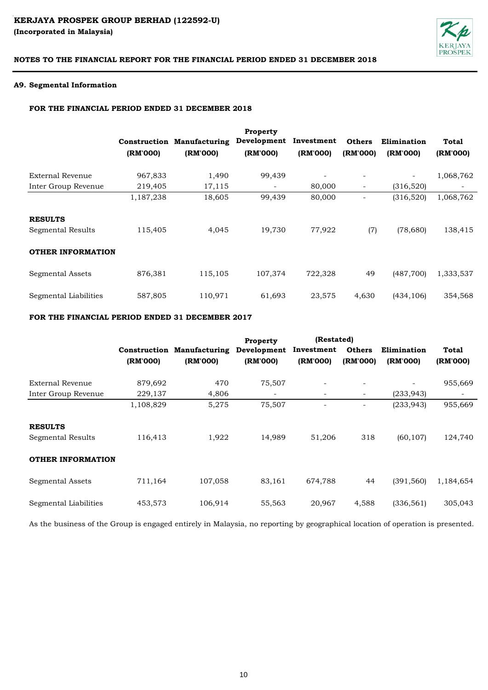# KERJAYA PROSPEK GROUP BERHAD (122592-U) **(Incorporated in Malaysia)**



# **NOTES TO THE FINANCIAL REPORT FOR THE FINANCIAL PERIOD ENDED 31 DECEMBER 2018**

## **A9. Segmental Information**

## **FOR THE FINANCIAL PERIOD ENDED 31 DECEMBER 2018**

|                          |           |                                   | <b>Property</b>          |            |               |                          |           |
|--------------------------|-----------|-----------------------------------|--------------------------|------------|---------------|--------------------------|-----------|
|                          |           | <b>Construction Manufacturing</b> | Development              | Investment | <b>Others</b> | Elimination              | Total     |
|                          | (RM'000)  | (RM'000)                          | (RM'000)                 | (RM'000)   | (RM'000)      | (RM'000)                 | (RM'000)  |
| External Revenue         | 967,833   | 1,490                             | 99,439                   | ۰          | -             | $\overline{\phantom{a}}$ | 1,068,762 |
| Inter Group Revenue      | 219,405   | 17,115                            | $\overline{\phantom{a}}$ | 80,000     | -             | (316,520)                |           |
|                          | 1,187,238 | 18,605                            | 99,439                   | 80,000     |               | (316,520)                | 1,068,762 |
| <b>RESULTS</b>           |           |                                   |                          |            |               |                          |           |
| Segmental Results        | 115,405   | 4,045                             | 19,730                   | 77,922     | (7)           | (78,680)                 | 138,415   |
| <b>OTHER INFORMATION</b> |           |                                   |                          |            |               |                          |           |
| Segmental Assets         | 876,381   | 115,105                           | 107,374                  | 722,328    | 49            | (487,700)                | 1,333,537 |
| Segmental Liabilities    | 587,805   | 110,971                           | 61,693                   | 23,575     | 4,630         | (434, 106)               | 354,568   |

## **FOR THE FINANCIAL PERIOD ENDED 31 DECEMBER 2017**

|                          |           |                                   | Property    | (Restated) |                          |                          |           |
|--------------------------|-----------|-----------------------------------|-------------|------------|--------------------------|--------------------------|-----------|
|                          |           | <b>Construction Manufacturing</b> | Development | Investment | <b>Others</b>            | Elimination              | Total     |
|                          | (RM'000)  | (RM'000)                          | (RM'000)    | (RM'000)   | (RM'000)                 | (RM'000)                 | (RM'000)  |
| <b>External Revenue</b>  | 879,692   | 470                               | 75,507      |            |                          | $\overline{\phantom{0}}$ | 955,669   |
| Inter Group Revenue      | 229,137   | 4,806                             |             |            | $\overline{\phantom{a}}$ | (233, 943)               |           |
|                          | 1,108,829 | 5,275                             | 75,507      |            |                          | (233, 943)               | 955,669   |
| <b>RESULTS</b>           |           |                                   |             |            |                          |                          |           |
| Segmental Results        | 116.413   | 1,922                             | 14.989      | 51,206     | 318                      | (60, 107)                | 124,740   |
| <b>OTHER INFORMATION</b> |           |                                   |             |            |                          |                          |           |
| Segmental Assets         | 711,164   | 107,058                           | 83,161      | 674,788    | 44                       | (391, 560)               | 1,184,654 |
| Segmental Liabilities    | 453,573   | 106,914                           | 55,563      | 20,967     | 4,588                    | (336, 561)               | 305,043   |

As the business of the Group is engaged entirely in Malaysia, no reporting by geographical location of operation is presented.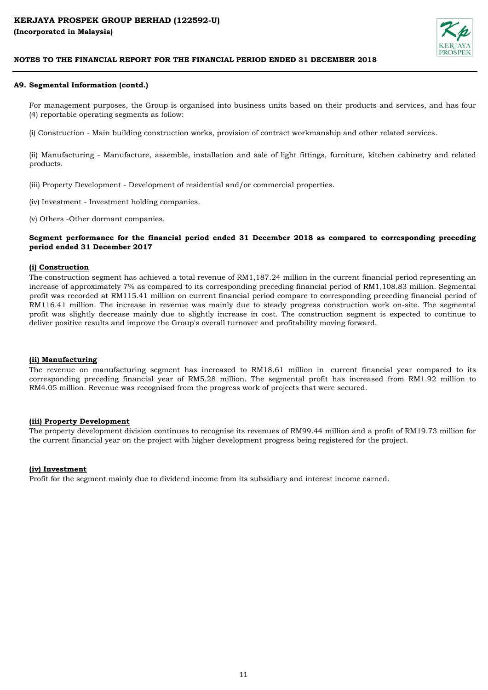

## **A9. Segmental Information (contd.)**

For management purposes, the Group is organised into business units based on their products and services, and has four (4) reportable operating segments as follow:

(i) Construction - Main building construction works, provision of contract workmanship and other related services.

(ii) Manufacturing - Manufacture, assemble, installation and sale of light fittings, furniture, kitchen cabinetry and related products.

(iii) Property Development - Development of residential and/or commercial properties.

(iv) Investment - Investment holding companies.

(v) Others -Other dormant companies.

## **Segment performance for the financial period ended 31 December 2018 as compared to corresponding preceding period ended 31 December 2017**

### **(i) Construction**

The construction segment has achieved a total revenue of RM1,187.24 million in the current financial period representing an increase of approximately 7% as compared to its corresponding preceding financial period of RM1,108.83 million. Segmental profit was recorded at RM115.41 million on current financial period compare to corresponding preceding financial period of RM116.41 million. The increase in revenue was mainly due to steady progress construction work on-site. The segmental profit was slightly decrease mainly due to slightly increase in cost. The construction segment is expected to continue to deliver positive results and improve the Group's overall turnover and profitability moving forward.

### **(ii) Manufacturing**

The revenue on manufacturing segment has increased to RM18.61 million in current financial year compared to its corresponding preceding financial year of RM5.28 million. The segmental profit has increased from RM1.92 million to RM4.05 million. Revenue was recognised from the progress work of projects that were secured.

### **(iii) Property Development**

The property development division continues to recognise its revenues of RM99.44 million and a profit of RM19.73 million for the current financial year on the project with higher development progress being registered for the project.

### **(iv) Investment**

Profit for the segment mainly due to dividend income from its subsidiary and interest income earned.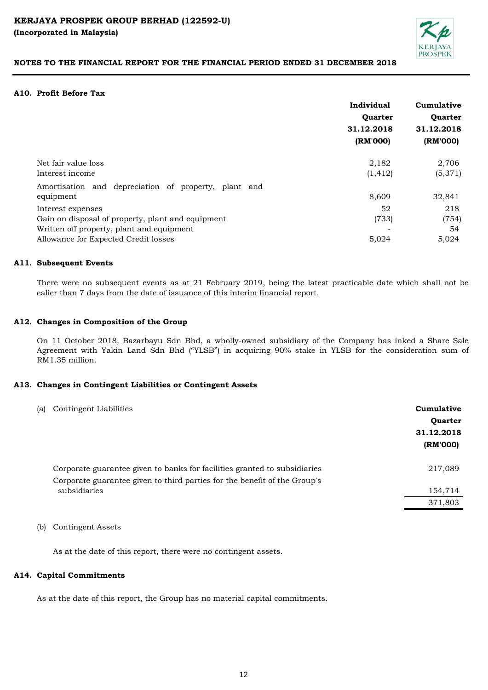

## **A10. Profit Before Tax**

| Individual     | Cumulative     |
|----------------|----------------|
| <b>Ouarter</b> | <b>Ouarter</b> |
| 31.12.2018     | 31.12.2018     |
| (RM'000)       | (RM'000)       |
| 2,182          | 2,706          |
| (1, 412)       | (5,371)        |
|                |                |
| 8,609          | 32,841         |
| 52             | 218            |
| (733)          | (754)          |
|                | 54             |
| 5,024          | 5,024          |
|                |                |

## **A11. Subsequent Events**

There were no subsequent events as at 21 February 2019, being the latest practicable date which shall not be ealier than 7 days from the date of issuance of this interim financial report.

### **A12. Changes in Composition of the Group**

On 11 October 2018, Bazarbayu Sdn Bhd, a wholly-owned subsidiary of the Company has inked a Share Sale Agreement with Yakin Land Sdn Bhd ("YLSB") in acquiring 90% stake in YLSB for the consideration sum of RM1.35 million.

### **A13. Changes in Contingent Liabilities or Contingent Assets**

| 217,089<br>Corporate guarantee given to banks for facilities granted to subsidiaries<br>Corporate guarantee given to third parties for the benefit of the Group's<br>subsidiaries<br>154,714<br>371,803 | (a) | Contingent Liabilities | Cumulative<br><b>Ouarter</b><br>31.12.2018<br>(RM'000) |
|---------------------------------------------------------------------------------------------------------------------------------------------------------------------------------------------------------|-----|------------------------|--------------------------------------------------------|
|                                                                                                                                                                                                         |     |                        |                                                        |
|                                                                                                                                                                                                         |     |                        |                                                        |
|                                                                                                                                                                                                         |     |                        |                                                        |

(b) Contingent Assets

As at the date of this report, there were no contingent assets.

### **A14. Capital Commitments**

As at the date of this report, the Group has no material capital commitments.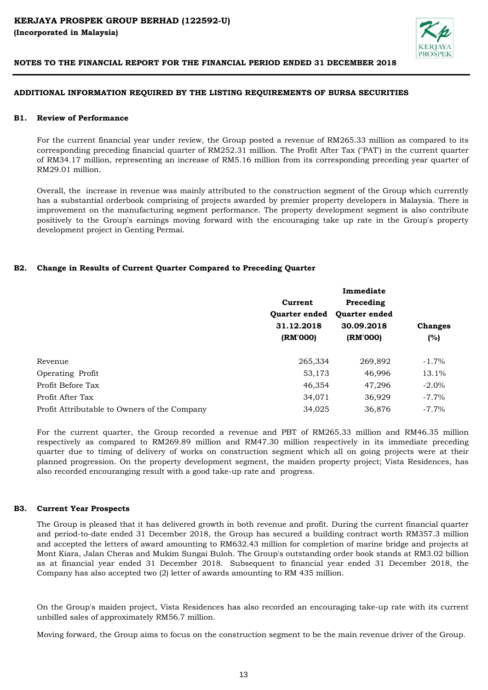

## **ADDITIONAL INFORMATION REQUIRED BY THE LISTING REQUIREMENTS OF BURSA SECURITIES**

#### **B1. Review of Performance**

For the current financial year under review, the Group posted a revenue of RM265.33 million as compared to its corresponding preceding financial quarter of RM252.31 million. The Profit After Tax ("PAT') in the current quarter of RM34.17 million, representing an increase of RM5.16 million from its corresponding preceding year quarter of RM29.01 million.

Overall, the increase in revenue was mainly attributed to the construction segment of the Group which currently has a substantial orderbook comprising of projects awarded by premier property developers in Malaysia. There is improvement on the manufacturing segment performance. The property development segment is also contribute positively to the Group's earnings moving forward with the encouraging take up rate in the Group's property development project in Genting Permai.

## **B2. Change in Results of Current Quarter Compared to Preceding Quarter**

|                                              |                      | Immediate            |                |  |
|----------------------------------------------|----------------------|----------------------|----------------|--|
|                                              | Current              | Preceding            |                |  |
|                                              | <b>Ouarter ended</b> | <b>Ouarter ended</b> |                |  |
|                                              | 31.12.2018           | 30.09.2018           | <b>Changes</b> |  |
|                                              | (RM'000)             | (RM'000)             | (%)            |  |
| Revenue                                      | 265,334              | 269,892              | $-1.7\%$       |  |
| Operating Profit                             | 53,173               | 46,996               | 13.1%          |  |
| Profit Before Tax                            | 46,354               | 47,296               | $-2.0\%$       |  |
| Profit After Tax                             | 34,071               | 36,929               | $-7.7\%$       |  |
| Profit Attributable to Owners of the Company | 34,025               | 36.876               | $-7.7\%$       |  |

For the current quarter, the Group recorded a revenue and PBT of RM265.33 million and RM46.35 million respectively as compared to RM269.89 million and RM47.30 million respectively in its immediate preceding quarter due to timing of delivery of works on construction segment which all on going projects were at their planned progression. On the property development segment, the maiden property project; Vista Residences, has also recorded encouranging result with a good take-up rate and progress.

#### **B3. Current Year Prospects**

The Group is pleased that it has delivered growth in both revenue and profit. During the current financial quarter and period-to-date ended 31 December 2018, the Group has secured a building contract worth RM357.3 million and accepted the letters of award amounting to RM632.43 million for completion of marine bridge and projects at Mont Kiara, Jalan Cheras and Mukim Sungai Buloh. The Group's outstanding order book stands at RM3.02 billion as at financial year ended 31 December 2018. Subsequent to financial year ended 31 December 2018, the Company has also accepted two (2) letter of awards amounting to RM 435 million.

On the Group's maiden project, Vista Residences has also recorded an encouraging take-up rate with its current unbilled sales of approximately RM56.7 million.

Moving forward, the Group aims to focus on the construction segment to be the main revenue driver of the Group.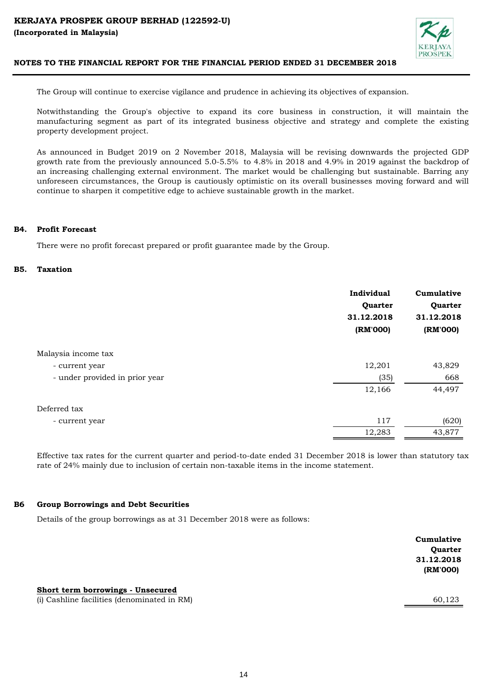

The Group will continue to exercise vigilance and prudence in achieving its objectives of expansion.

Notwithstanding the Group's objective to expand its core business in construction, it will maintain the manufacturing segment as part of its integrated business objective and strategy and complete the existing property development project.

As announced in Budget 2019 on 2 November 2018, Malaysia will be revising downwards the projected GDP growth rate from the previously announced 5.0-5.5% to 4.8% in 2018 and 4.9% in 2019 against the backdrop of an increasing challenging external environment. The market would be challenging but sustainable. Barring any unforeseen circumstances, the Group is cautiously optimistic on its overall businesses moving forward and will continue to sharpen it competitive edge to achieve sustainable growth in the market.

#### **B4. Profit Forecast**

There were no profit forecast prepared or profit guarantee made by the Group.

#### **B5. Taxation**

|                                | Individual<br>Quarter<br>31.12.2018<br>(RM'000) | Cumulative<br>Quarter<br>31.12.2018<br>(RM'000) |
|--------------------------------|-------------------------------------------------|-------------------------------------------------|
| Malaysia income tax            |                                                 |                                                 |
| - current year                 | 12,201                                          | 43,829                                          |
| - under provided in prior year | (35)                                            | 668                                             |
|                                | 12,166                                          | 44,497                                          |
| Deferred tax                   |                                                 |                                                 |
| - current year                 | 117                                             | (620)                                           |
|                                | 12,283                                          | 43,877                                          |

Effective tax rates for the current quarter and period-to-date ended 31 December 2018 is lower than statutory tax rate of 24% mainly due to inclusion of certain non-taxable items in the income statement.

#### **B6 Group Borrowings and Debt Securities**

Details of the group borrowings as at 31 December 2018 were as follows:

|                                                                                  | Cumulative<br>Quarter<br>31.12.2018<br>(RM'000) |
|----------------------------------------------------------------------------------|-------------------------------------------------|
| Short term borrowings - Unsecured<br>(i) Cashline facilities (denominated in RM) | 60,123                                          |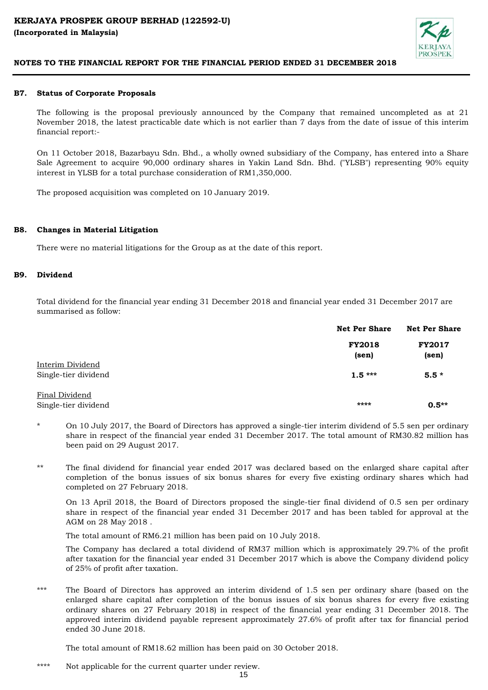

#### **B7. Status of Corporate Proposals**

The following is the proposal previously announced by the Company that remained uncompleted as at 21 November 2018, the latest practicable date which is not earlier than 7 days from the date of issue of this interim financial report:-

On 11 October 2018, Bazarbayu Sdn. Bhd., a wholly owned subsidiary of the Company, has entered into a Share Sale Agreement to acquire 90,000 ordinary shares in Yakin Land Sdn. Bhd. ("YLSB") representing 90% equity interest in YLSB for a total purchase consideration of RM1,350,000.

The proposed acquisition was completed on 10 January 2019.

#### **B8. Changes in Material Litigation**

There were no material litigations for the Group as at the date of this report.

#### **B9. Dividend**

Total dividend for the financial year ending 31 December 2018 and financial year ended 31 December 2017 are summarised as follow:

|                                          | <b>Net Per Share</b>   | <b>Net Per Share</b>   |  |
|------------------------------------------|------------------------|------------------------|--|
|                                          | <b>FY2018</b><br>(sen) | <b>FY2017</b><br>(sen) |  |
| Interim Dividend<br>Single-tier dividend | $1.5***$               | $5.5*$                 |  |
| Final Dividend<br>Single-tier dividend   | ****                   | $0.5**$                |  |

- \* On 10 July 2017, the Board of Directors has approved a single-tier interim dividend of 5.5 sen per ordinary share in respect of the financial year ended 31 December 2017. The total amount of RM30.82 million has been paid on 29 August 2017.
- \*\* The final dividend for financial year ended 2017 was declared based on the enlarged share capital after completion of the bonus issues of six bonus shares for every five existing ordinary shares which had completed on 27 February 2018.

On 13 April 2018, the Board of Directors proposed the single-tier final dividend of 0.5 sen per ordinary share in respect of the financial year ended 31 December 2017 and has been tabled for approval at the AGM on 28 May 2018 .

The total amount of RM6.21 million has been paid on 10 July 2018.

The Company has declared a total dividend of RM37 million which is approximately 29.7% of the profit after taxation for the financial year ended 31 December 2017 which is above the Company dividend policy of 25% of profit after taxation.

\*\*\* The Board of Directors has approved an interim dividend of 1.5 sen per ordinary share (based on the enlarged share capital after completion of the bonus issues of six bonus shares for every five existing ordinary shares on 27 February 2018) in respect of the financial year ending 31 December 2018. The approved interim dividend payable represent approximately 27.6% of profit after tax for financial period ended 30 June 2018.

The total amount of RM18.62 million has been paid on 30 October 2018.

\*\*\*\* Not applicable for the current quarter under review.